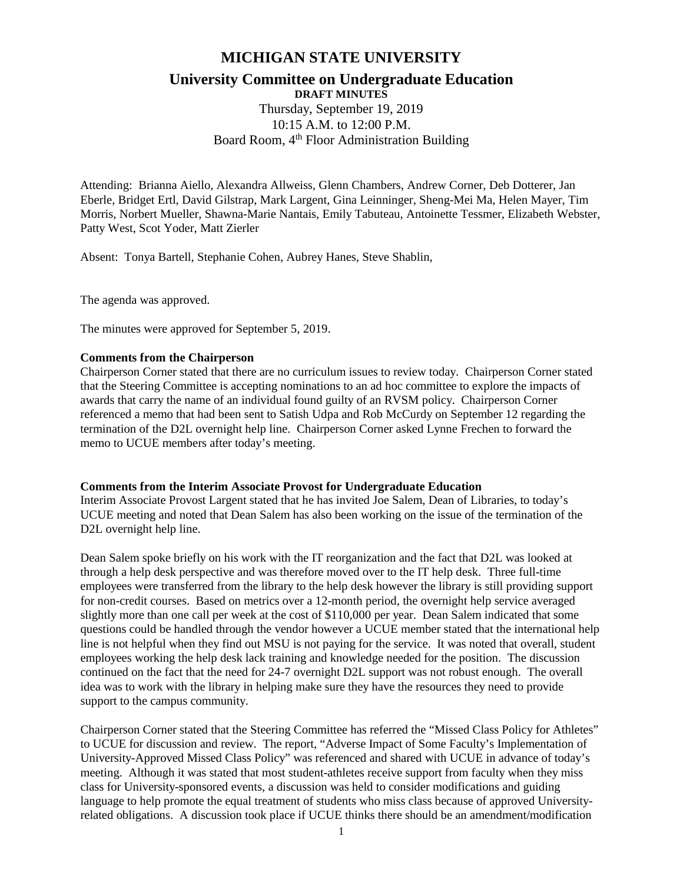## **MICHIGAN STATE UNIVERSITY**

# **University Committee on Undergraduate Education**

**DRAFT MINUTES** Thursday, September 19, 2019 10:15 A.M. to 12:00 P.M. Board Room, 4<sup>th</sup> Floor Administration Building

Attending: Brianna Aiello, Alexandra Allweiss, Glenn Chambers, Andrew Corner, Deb Dotterer, Jan Eberle, Bridget Ertl, David Gilstrap, Mark Largent, Gina Leinninger, Sheng-Mei Ma, Helen Mayer, Tim Morris, Norbert Mueller, Shawna-Marie Nantais, Emily Tabuteau, Antoinette Tessmer, Elizabeth Webster, Patty West, Scot Yoder, Matt Zierler

Absent: Tonya Bartell, Stephanie Cohen, Aubrey Hanes, Steve Shablin,

The agenda was approved.

The minutes were approved for September 5, 2019.

#### **Comments from the Chairperson**

Chairperson Corner stated that there are no curriculum issues to review today. Chairperson Corner stated that the Steering Committee is accepting nominations to an ad hoc committee to explore the impacts of awards that carry the name of an individual found guilty of an RVSM policy. Chairperson Corner referenced a memo that had been sent to Satish Udpa and Rob McCurdy on September 12 regarding the termination of the D2L overnight help line. Chairperson Corner asked Lynne Frechen to forward the memo to UCUE members after today's meeting.

#### **Comments from the Interim Associate Provost for Undergraduate Education**

Interim Associate Provost Largent stated that he has invited Joe Salem, Dean of Libraries, to today's UCUE meeting and noted that Dean Salem has also been working on the issue of the termination of the D<sub>2</sub>L overnight help line.

Dean Salem spoke briefly on his work with the IT reorganization and the fact that D2L was looked at through a help desk perspective and was therefore moved over to the IT help desk. Three full-time employees were transferred from the library to the help desk however the library is still providing support for non-credit courses. Based on metrics over a 12-month period, the overnight help service averaged slightly more than one call per week at the cost of \$110,000 per year. Dean Salem indicated that some questions could be handled through the vendor however a UCUE member stated that the international help line is not helpful when they find out MSU is not paying for the service. It was noted that overall, student employees working the help desk lack training and knowledge needed for the position. The discussion continued on the fact that the need for 24-7 overnight D2L support was not robust enough. The overall idea was to work with the library in helping make sure they have the resources they need to provide support to the campus community.

Chairperson Corner stated that the Steering Committee has referred the "Missed Class Policy for Athletes" to UCUE for discussion and review. The report, "Adverse Impact of Some Faculty's Implementation of University-Approved Missed Class Policy" was referenced and shared with UCUE in advance of today's meeting. Although it was stated that most student-athletes receive support from faculty when they miss class for University-sponsored events, a discussion was held to consider modifications and guiding language to help promote the equal treatment of students who miss class because of approved Universityrelated obligations. A discussion took place if UCUE thinks there should be an amendment/modification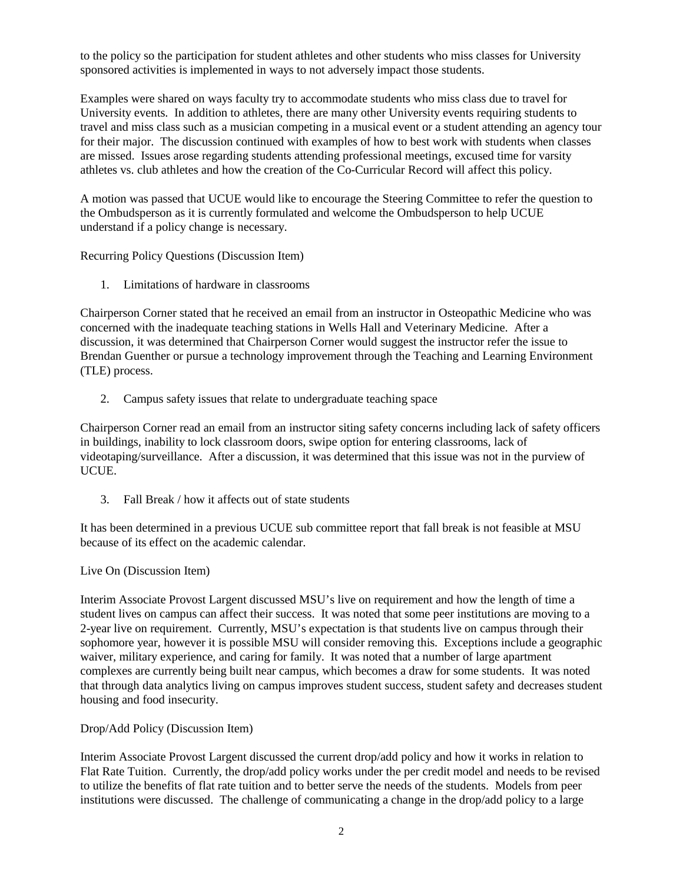to the policy so the participation for student athletes and other students who miss classes for University sponsored activities is implemented in ways to not adversely impact those students.

Examples were shared on ways faculty try to accommodate students who miss class due to travel for University events. In addition to athletes, there are many other University events requiring students to travel and miss class such as a musician competing in a musical event or a student attending an agency tour for their major. The discussion continued with examples of how to best work with students when classes are missed. Issues arose regarding students attending professional meetings, excused time for varsity athletes vs. club athletes and how the creation of the Co-Curricular Record will affect this policy.

A motion was passed that UCUE would like to encourage the Steering Committee to refer the question to the Ombudsperson as it is currently formulated and welcome the Ombudsperson to help UCUE understand if a policy change is necessary.

Recurring Policy Questions (Discussion Item)

1. Limitations of hardware in classrooms

Chairperson Corner stated that he received an email from an instructor in Osteopathic Medicine who was concerned with the inadequate teaching stations in Wells Hall and Veterinary Medicine. After a discussion, it was determined that Chairperson Corner would suggest the instructor refer the issue to Brendan Guenther or pursue a technology improvement through the Teaching and Learning Environment (TLE) process.

2. Campus safety issues that relate to undergraduate teaching space

Chairperson Corner read an email from an instructor siting safety concerns including lack of safety officers in buildings, inability to lock classroom doors, swipe option for entering classrooms, lack of videotaping/surveillance. After a discussion, it was determined that this issue was not in the purview of UCUE.

3. Fall Break / how it affects out of state students

It has been determined in a previous UCUE sub committee report that fall break is not feasible at MSU because of its effect on the academic calendar.

#### Live On (Discussion Item)

Interim Associate Provost Largent discussed MSU's live on requirement and how the length of time a student lives on campus can affect their success. It was noted that some peer institutions are moving to a 2-year live on requirement. Currently, MSU's expectation is that students live on campus through their sophomore year, however it is possible MSU will consider removing this. Exceptions include a geographic waiver, military experience, and caring for family. It was noted that a number of large apartment complexes are currently being built near campus, which becomes a draw for some students. It was noted that through data analytics living on campus improves student success, student safety and decreases student housing and food insecurity.

#### Drop/Add Policy (Discussion Item)

Interim Associate Provost Largent discussed the current drop/add policy and how it works in relation to Flat Rate Tuition. Currently, the drop/add policy works under the per credit model and needs to be revised to utilize the benefits of flat rate tuition and to better serve the needs of the students. Models from peer institutions were discussed. The challenge of communicating a change in the drop/add policy to a large